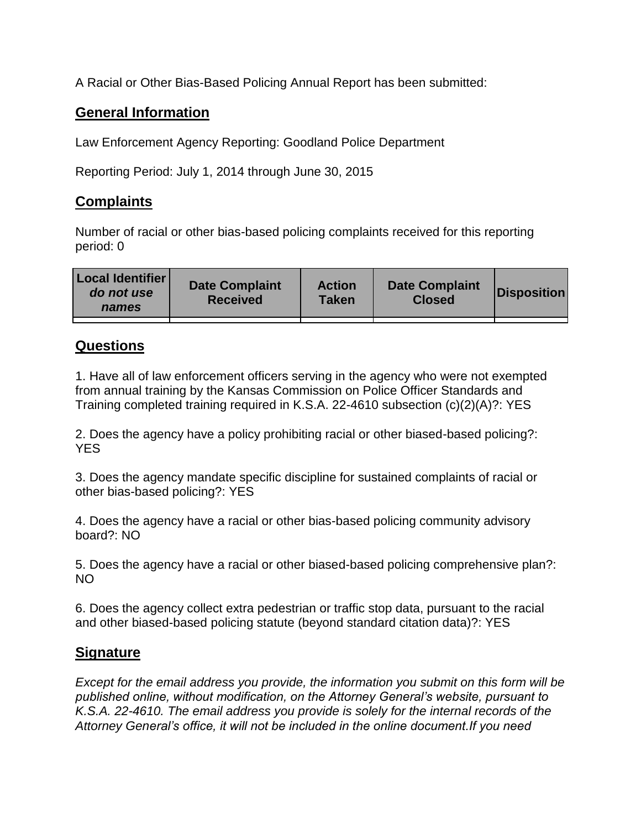A Racial or Other Bias-Based Policing Annual Report has been submitted:

## **General Information**

Law Enforcement Agency Reporting: Goodland Police Department

Reporting Period: July 1, 2014 through June 30, 2015

## **Complaints**

Number of racial or other bias-based policing complaints received for this reporting period: 0

| <b>Local Identifier</b><br>do not use<br>names | <b>Date Complaint</b><br><b>Received</b> | <b>Action</b><br><b>Taken</b> | <b>Date Complaint</b><br><b>Closed</b> | Disposition |
|------------------------------------------------|------------------------------------------|-------------------------------|----------------------------------------|-------------|
|                                                |                                          |                               |                                        |             |

## **Questions**

1. Have all of law enforcement officers serving in the agency who were not exempted from annual training by the Kansas Commission on Police Officer Standards and Training completed training required in K.S.A. 22-4610 subsection (c)(2)(A)?: YES

2. Does the agency have a policy prohibiting racial or other biased-based policing?: YES

3. Does the agency mandate specific discipline for sustained complaints of racial or other bias-based policing?: YES

4. Does the agency have a racial or other bias-based policing community advisory board?: NO

5. Does the agency have a racial or other biased-based policing comprehensive plan?: NO

6. Does the agency collect extra pedestrian or traffic stop data, pursuant to the racial and other biased-based policing statute (beyond standard citation data)?: YES

## **Signature**

*Except for the email address you provide, the information you submit on this form will be published online, without modification, on the Attorney General's website, pursuant to K.S.A. 22-4610. The email address you provide is solely for the internal records of the Attorney General's office, it will not be included in the online document.If you need*